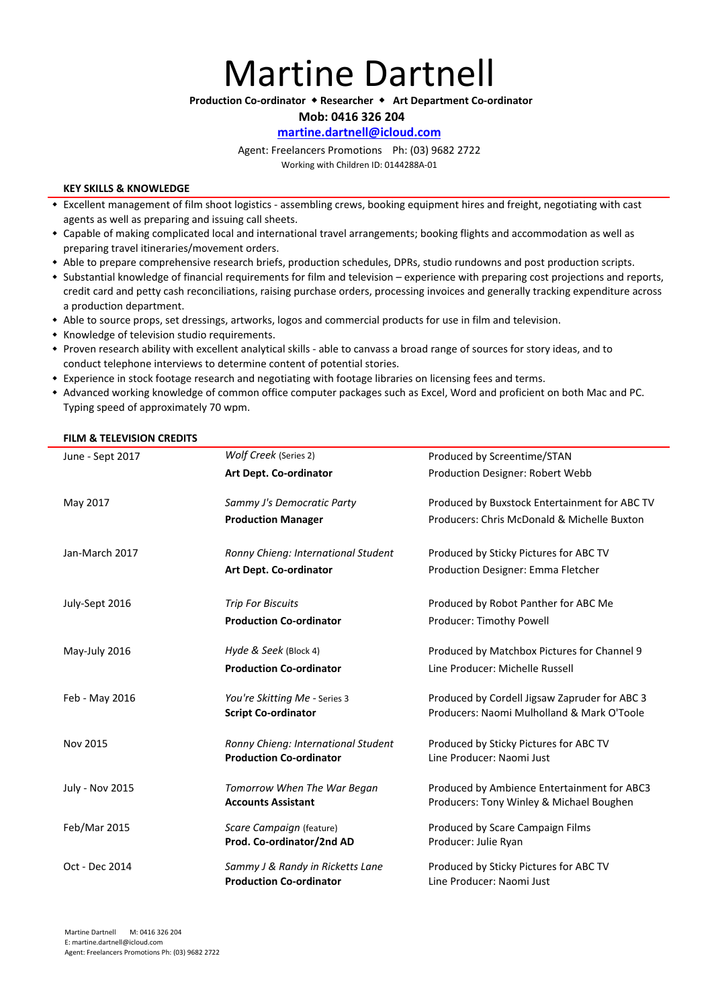**Martine Dartnell** 

**Production Co-ordinator**  $\triangle$  **Researcher**  $\triangle$  **Art Department Co-ordinator** 

Mob: 0416 326 204

## **martine.dartnell@icloud.com**

Agent: Freelancers Promotions Ph: (03) 9682 2722 Working with Children ID: 0144288A-01

### **KEY SKILLS & KNOWLEDGE**

- Excellent management of film shoot logistics assembling crews, booking equipment hires and freight, negotiating with cast agents as well as preparing and issuing call sheets.
- Capable of making complicated local and international travel arrangements; booking flights and accommodation as well as preparing travel itineraries/movement orders.
- \* Able to prepare comprehensive research briefs, production schedules, DPRs, studio rundowns and post production scripts.
- Substantial knowledge of financial requirements for film and television experience with preparing cost projections and reports, credit card and petty cash reconciliations, raising purchase orders, processing invoices and generally tracking expenditure across a production department.
- \* Able to source props, set dressings, artworks, logos and commercial products for use in film and television.
- Knowledge of television studio requirements.
- Proven research ability with excellent analytical skills able to canvass a broad range of sources for story ideas, and to conduct telephone interviews to determine content of potential stories.
- \* Experience in stock footage research and negotiating with footage libraries on licensing fees and terms.
- \* Advanced working knowledge of common office computer packages such as Excel, Word and proficient on both Mac and PC. Typing speed of approximately 70 wpm.

#### **FILM & TELEVISION CREDITS**

| June - Sept 2017       | Wolf Creek (Series 2)               | Produced by Screentime/STAN                   |
|------------------------|-------------------------------------|-----------------------------------------------|
|                        | Art Dept. Co-ordinator              | Production Designer: Robert Webb              |
| May 2017               | Sammy J's Democratic Party          | Produced by Buxstock Entertainment for ABC TV |
|                        | <b>Production Manager</b>           | Producers: Chris McDonald & Michelle Buxton   |
| Jan-March 2017         | Ronny Chieng: International Student | Produced by Sticky Pictures for ABC TV        |
|                        | Art Dept. Co-ordinator              | Production Designer: Emma Fletcher            |
| July-Sept 2016         | <b>Trip For Biscuits</b>            | Produced by Robot Panther for ABC Me          |
|                        | <b>Production Co-ordinator</b>      | Producer: Timothy Powell                      |
| May-July 2016          | Hyde & Seek (Block 4)               | Produced by Matchbox Pictures for Channel 9   |
|                        | <b>Production Co-ordinator</b>      | Line Producer: Michelle Russell               |
| Feb - May 2016         | You're Skitting Me - Series 3       | Produced by Cordell Jigsaw Zapruder for ABC 3 |
|                        | <b>Script Co-ordinator</b>          | Producers: Naomi Mulholland & Mark O'Toole    |
| Nov 2015               | Ronny Chieng: International Student | Produced by Sticky Pictures for ABC TV        |
|                        | <b>Production Co-ordinator</b>      | Line Producer: Naomi Just                     |
| <b>July - Nov 2015</b> | Tomorrow When The War Began         | Produced by Ambience Entertainment for ABC3   |
|                        | <b>Accounts Assistant</b>           | Producers: Tony Winley & Michael Boughen      |
| Feb/Mar 2015           | Scare Campaign (feature)            | Produced by Scare Campaign Films              |
|                        | Prod. Co-ordinator/2nd AD           | Producer: Julie Ryan                          |
| Oct - Dec 2014         | Sammy J & Randy in Ricketts Lane    | Produced by Sticky Pictures for ABC TV        |
|                        | <b>Production Co-ordinator</b>      | Line Producer: Naomi Just                     |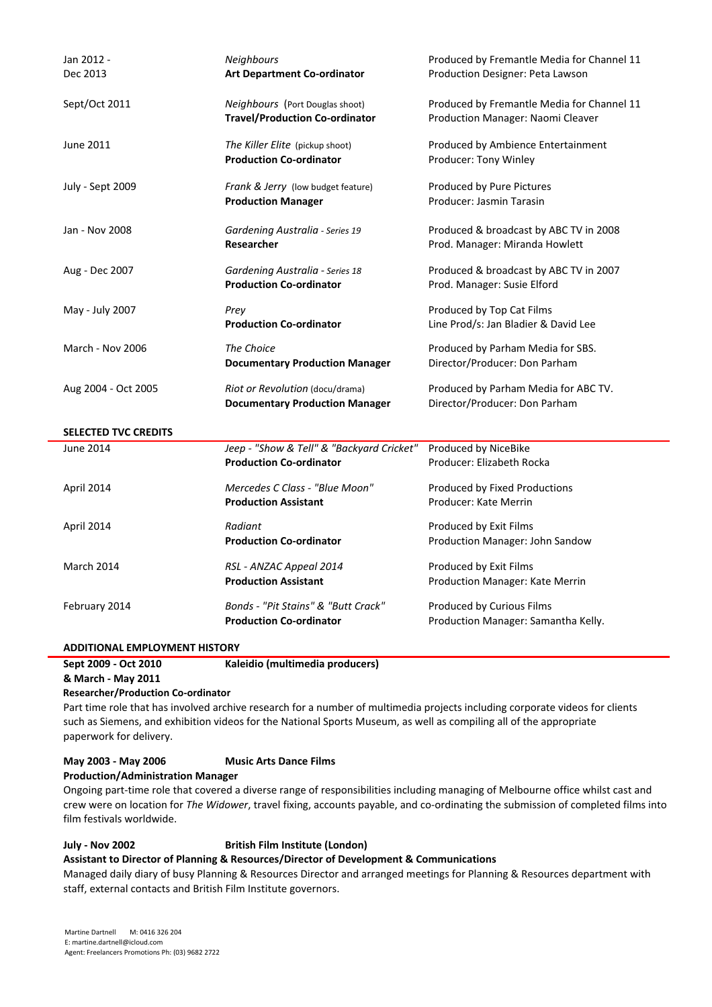| Jan 2012 -                  | Neighbours                                | Produced by Fremantle Media for Channel 11 |
|-----------------------------|-------------------------------------------|--------------------------------------------|
| Dec 2013                    | <b>Art Department Co-ordinator</b>        | Production Designer: Peta Lawson           |
|                             |                                           |                                            |
| Sept/Oct 2011               | Neighbours (Port Douglas shoot)           | Produced by Fremantle Media for Channel 11 |
|                             | <b>Travel/Production Co-ordinator</b>     | Production Manager: Naomi Cleaver          |
|                             |                                           |                                            |
| June 2011                   | The Killer Elite (pickup shoot)           | Produced by Ambience Entertainment         |
|                             | <b>Production Co-ordinator</b>            | Producer: Tony Winley                      |
| July - Sept 2009            | Frank & Jerry (low budget feature)        | Produced by Pure Pictures                  |
|                             | <b>Production Manager</b>                 | Producer: Jasmin Tarasin                   |
|                             |                                           |                                            |
| Jan - Nov 2008              | Gardening Australia - Series 19           | Produced & broadcast by ABC TV in 2008     |
|                             | <b>Researcher</b>                         | Prod. Manager: Miranda Howlett             |
|                             |                                           |                                            |
| Aug - Dec 2007              | Gardening Australia - Series 18           | Produced & broadcast by ABC TV in 2007     |
|                             | <b>Production Co-ordinator</b>            | Prod. Manager: Susie Elford                |
|                             |                                           |                                            |
| May - July 2007             | Prey                                      | Produced by Top Cat Films                  |
|                             | <b>Production Co-ordinator</b>            | Line Prod/s: Jan Bladier & David Lee       |
| <b>March - Nov 2006</b>     | The Choice                                | Produced by Parham Media for SBS.          |
|                             | <b>Documentary Production Manager</b>     | Director/Producer: Don Parham              |
|                             |                                           |                                            |
| Aug 2004 - Oct 2005         | Riot or Revolution (docu/drama)           | Produced by Parham Media for ABC TV.       |
|                             | <b>Documentary Production Manager</b>     | Director/Producer: Don Parham              |
|                             |                                           |                                            |
| <b>SELECTED TVC CREDITS</b> |                                           |                                            |
| <b>June 2014</b>            | Jeep - "Show & Tell" & "Backyard Cricket" | Produced by NiceBike                       |
|                             | <b>Production Co-ordinator</b>            | Producer: Elizabeth Rocka                  |
| April 2014                  | Mercedes C Class - "Blue Moon"            | Produced by Fixed Productions              |
|                             | <b>Production Assistant</b>               | Producer: Kate Merrin                      |
|                             |                                           |                                            |
| April 2014                  | Radiant                                   | Produced by Exit Films                     |
|                             | <b>Production Co-ordinator</b>            | Production Manager: John Sandow            |
| <b>March 2014</b>           | RSL - ANZAC Appeal 2014                   | Produced by Exit Films                     |
|                             | <b>Production Assistant</b>               | Production Manager: Kate Merrin            |
|                             |                                           |                                            |
| February 2014               | Bonds - "Pit Stains" & "Butt Crack"       | Produced by Curious Films                  |
|                             | <b>Production Co-ordinator</b>            | Production Manager: Samantha Kelly.        |
|                             |                                           |                                            |

| Sept 2009 - Oct 2010                                                                                                         | Kaleidio (multimedia producers) |  |
|------------------------------------------------------------------------------------------------------------------------------|---------------------------------|--|
| & March - May 2011                                                                                                           |                                 |  |
| <b>Researcher/Production Co-ordinator</b>                                                                                    |                                 |  |
| Part time role that has involved archive research for a number of multimedia projects including corporate videos for clients |                                 |  |
| such as Siemens, and exhibition videos for the National Sports Museum, as well as compiling all of the appropriate           |                                 |  |

paperwork for delivery.

| May 2003 - May 2006 | <b>Music Arts Dance Films</b> |
|---------------------|-------------------------------|
|---------------------|-------------------------------|

**Production/Administration Manager**

Ongoing part-time role that covered a diverse range of responsibilities including managing of Melbourne office whilst cast and crew were on location for *The Widower*, travel fixing, accounts payable, and co-ordinating the submission of completed films into film festivals worldwide.

## **July** - Nov 2002 **British Film Institute (London)**

Assistant to Director of Planning & Resources/Director of Development & Communications

Managed daily diary of busy Planning & Resources Director and arranged meetings for Planning & Resources department with staff, external contacts and British Film Institute governors.